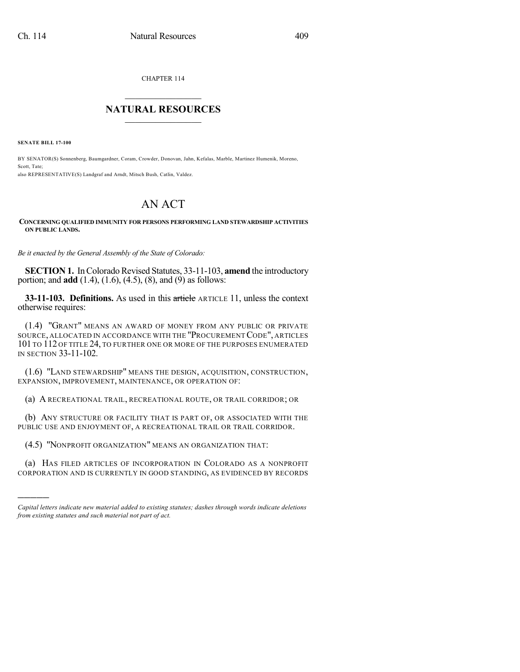CHAPTER 114  $\overline{\phantom{a}}$  . The set of the set of the set of the set of the set of the set of the set of the set of the set of the set of the set of the set of the set of the set of the set of the set of the set of the set of the set o

## **NATURAL RESOURCES**  $\frac{1}{\sqrt{2}}$  , where  $\frac{1}{\sqrt{2}}$  ,  $\frac{1}{\sqrt{2}}$  ,  $\frac{1}{\sqrt{2}}$

**SENATE BILL 17-100**

)))))

BY SENATOR(S) Sonnenberg, Baumgardner, Coram, Crowder, Donovan, Jahn, Kefalas, Marble, Martinez Humenik, Moreno, Scott, Tate; also REPRESENTATIVE(S) Landgraf and Arndt, Mitsch Bush, Catlin, Valdez.

## AN ACT

## **CONCERNING QUALIFIED IMMUNITY FOR PERSONS PERFORMING LAND STEWARDSHIP ACTIVITIES ON PUBLIC LANDS.**

*Be it enacted by the General Assembly of the State of Colorado:*

**SECTION 1.** In Colorado Revised Statutes, 33-11-103, amend the introductory portion; and **add** (1.4), (1.6), (4.5), (8), and (9) as follows:

**33-11-103. Definitions.** As used in this article ARTICLE 11, unless the context otherwise requires:

(1.4) "GRANT" MEANS AN AWARD OF MONEY FROM ANY PUBLIC OR PRIVATE SOURCE, ALLOCATED IN ACCORDANCE WITH THE "PROCUREMENT CODE", ARTICLES 101 TO 112 OF TITLE 24, TO FURTHER ONE OR MORE OF THE PURPOSES ENUMERATED IN SECTION 33-11-102.

(1.6) "LAND STEWARDSHIP" MEANS THE DESIGN, ACQUISITION, CONSTRUCTION, EXPANSION, IMPROVEMENT, MAINTENANCE, OR OPERATION OF:

(a) A RECREATIONAL TRAIL, RECREATIONAL ROUTE, OR TRAIL CORRIDOR; OR

(b) ANY STRUCTURE OR FACILITY THAT IS PART OF, OR ASSOCIATED WITH THE PUBLIC USE AND ENJOYMENT OF, A RECREATIONAL TRAIL OR TRAIL CORRIDOR.

(4.5) "NONPROFIT ORGANIZATION" MEANS AN ORGANIZATION THAT:

(a) HAS FILED ARTICLES OF INCORPORATION IN COLORADO AS A NONPROFIT CORPORATION AND IS CURRENTLY IN GOOD STANDING, AS EVIDENCED BY RECORDS

*Capital letters indicate new material added to existing statutes; dashes through words indicate deletions from existing statutes and such material not part of act.*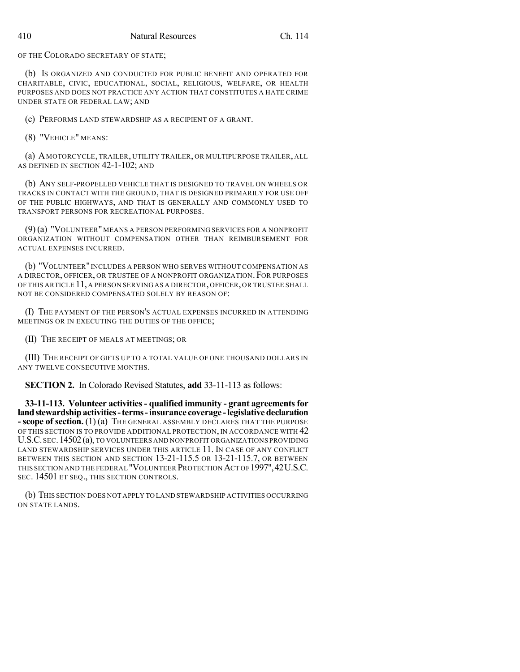OF THE COLORADO SECRETARY OF STATE;

(b) IS ORGANIZED AND CONDUCTED FOR PUBLIC BENEFIT AND OPERATED FOR CHARITABLE, CIVIC, EDUCATIONAL, SOCIAL, RELIGIOUS, WELFARE, OR HEALTH PURPOSES AND DOES NOT PRACTICE ANY ACTION THAT CONSTITUTES A HATE CRIME UNDER STATE OR FEDERAL LAW; AND

(c) PERFORMS LAND STEWARDSHIP AS A RECIPIENT OF A GRANT.

(8) "VEHICLE" MEANS:

(a) A MOTORCYCLE, TRAILER, UTILITY TRAILER, OR MULTIPURPOSE TRAILER, ALL AS DEFINED IN SECTION 42-1-102; AND

(b) ANY SELF-PROPELLED VEHICLE THAT IS DESIGNED TO TRAVEL ON WHEELS OR TRACKS IN CONTACT WITH THE GROUND, THAT IS DESIGNED PRIMARILY FOR USE OFF OF THE PUBLIC HIGHWAYS, AND THAT IS GENERALLY AND COMMONLY USED TO TRANSPORT PERSONS FOR RECREATIONAL PURPOSES.

(9) (a) "VOLUNTEER" MEANS A PERSON PERFORMING SERVICES FOR A NONPROFIT ORGANIZATION WITHOUT COMPENSATION OTHER THAN REIMBURSEMENT FOR ACTUAL EXPENSES INCURRED.

(b) "VOLUNTEER"INCLUDES A PERSON WHO SERVES WITHOUT COMPENSATION AS A DIRECTOR, OFFICER, OR TRUSTEE OF A NONPROFIT ORGANIZATION. FOR PURPOSES OF THIS ARTICLE 11, A PERSON SERVING AS A DIRECTOR, OFFICER, OR TRUSTEE SHALL NOT BE CONSIDERED COMPENSATED SOLELY BY REASON OF:

(I) THE PAYMENT OF THE PERSON'S ACTUAL EXPENSES INCURRED IN ATTENDING MEETINGS OR IN EXECUTING THE DUTIES OF THE OFFICE;

(II) THE RECEIPT OF MEALS AT MEETINGS; OR

(III) THE RECEIPT OF GIFTS UP TO A TOTAL VALUE OF ONE THOUSAND DOLLARS IN ANY TWELVE CONSECUTIVE MONTHS.

**SECTION 2.** In Colorado Revised Statutes, **add** 33-11-113 as follows:

**33-11-113. Volunteer activities - qualified immunity - grant agreementsfor landstewardshipactivities-terms-insurance coverage -legislativedeclaration - scope of section.** (1) (a) THE GENERAL ASSEMBLY DECLARES THAT THE PURPOSE OF THIS SECTION IS TO PROVIDE ADDITIONAL PROTECTION, IN ACCORDANCE WITH  $42$ U.S.C.SEC.14502(a), TO VOLUNTEERS AND NONPROFIT ORGANIZATIONS PROVIDING LAND STEWARDSHIP SERVICES UNDER THIS ARTICLE 11. IN CASE OF ANY CONFLICT BETWEEN THIS SECTION AND SECTION 13-21-115.5 OR 13-21-115.7, OR BETWEEN THIS SECTION AND THE FEDERAL "VOLUNTEER PROTECTION ACT OF1997",42U.S.C. SEC. 14501 ET SEQ., THIS SECTION CONTROLS.

(b) THIS SECTION DOES NOT APPLY TO LAND STEWARDSHIP ACTIVITIES OCCURRING ON STATE LANDS.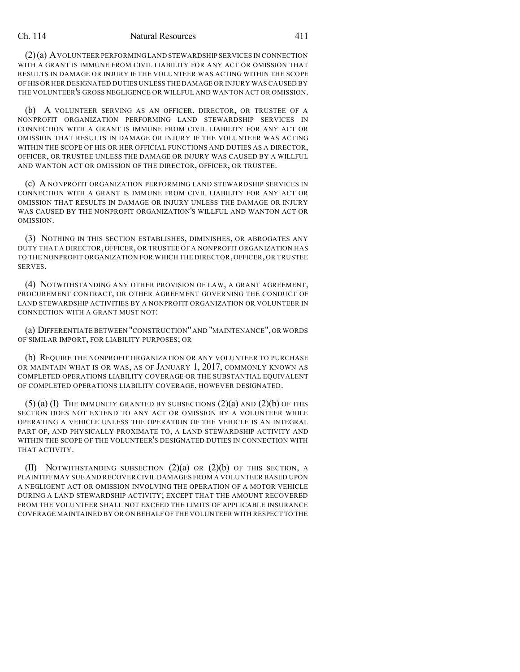## Ch. 114 Natural Resources 411

(2)(a) AVOLUNTEER PERFORMING LAND STEWARDSHIP SERVICES IN CONNECTION WITH A GRANT IS IMMUNE FROM CIVIL LIABILITY FOR ANY ACT OR OMISSION THAT RESULTS IN DAMAGE OR INJURY IF THE VOLUNTEER WAS ACTING WITHIN THE SCOPE OF HIS OR HER DESIGNATED DUTIES UNLESS THE DAMAGE OR INJURY WAS CAUSED BY THE VOLUNTEER'S GROSS NEGLIGENCE OR WILLFUL AND WANTON ACT OR OMISSION.

(b) A VOLUNTEER SERVING AS AN OFFICER, DIRECTOR, OR TRUSTEE OF A NONPROFIT ORGANIZATION PERFORMING LAND STEWARDSHIP SERVICES IN CONNECTION WITH A GRANT IS IMMUNE FROM CIVIL LIABILITY FOR ANY ACT OR OMISSION THAT RESULTS IN DAMAGE OR INJURY IF THE VOLUNTEER WAS ACTING WITHIN THE SCOPE OF HIS OR HER OFFICIAL FUNCTIONS AND DUTIES AS A DIRECTOR, OFFICER, OR TRUSTEE UNLESS THE DAMAGE OR INJURY WAS CAUSED BY A WILLFUL AND WANTON ACT OR OMISSION OF THE DIRECTOR, OFFICER, OR TRUSTEE.

(c) A NONPROFIT ORGANIZATION PERFORMING LAND STEWARDSHIP SERVICES IN CONNECTION WITH A GRANT IS IMMUNE FROM CIVIL LIABILITY FOR ANY ACT OR OMISSION THAT RESULTS IN DAMAGE OR INJURY UNLESS THE DAMAGE OR INJURY WAS CAUSED BY THE NONPROFIT ORGANIZATION'S WILLFUL AND WANTON ACT OR OMISSION.

(3) NOTHING IN THIS SECTION ESTABLISHES, DIMINISHES, OR ABROGATES ANY DUTY THAT A DIRECTOR, OFFICER, OR TRUSTEE OF A NONPROFIT ORGANIZATION HAS TO THE NONPROFIT ORGANIZATION FOR WHICH THE DIRECTOR, OFFICER, OR TRUSTEE SERVES.

(4) NOTWITHSTANDING ANY OTHER PROVISION OF LAW, A GRANT AGREEMENT, PROCUREMENT CONTRACT, OR OTHER AGREEMENT GOVERNING THE CONDUCT OF LAND STEWARDSHIP ACTIVITIES BY A NONPROFIT ORGANIZATION OR VOLUNTEER IN CONNECTION WITH A GRANT MUST NOT:

(a) DIFFERENTIATE BETWEEN "CONSTRUCTION"AND "MAINTENANCE",OR WORDS OF SIMILAR IMPORT, FOR LIABILITY PURPOSES; OR

(b) REQUIRE THE NONPROFIT ORGANIZATION OR ANY VOLUNTEER TO PURCHASE OR MAINTAIN WHAT IS OR WAS, AS OF JANUARY 1, 2017, COMMONLY KNOWN AS COMPLETED OPERATIONS LIABILITY COVERAGE OR THE SUBSTANTIAL EQUIVALENT OF COMPLETED OPERATIONS LIABILITY COVERAGE, HOWEVER DESIGNATED.

 $(5)$  (a) (I) The immunity granted by subsections  $(2)(a)$  and  $(2)(b)$  of this SECTION DOES NOT EXTEND TO ANY ACT OR OMISSION BY A VOLUNTEER WHILE OPERATING A VEHICLE UNLESS THE OPERATION OF THE VEHICLE IS AN INTEGRAL PART OF, AND PHYSICALLY PROXIMATE TO, A LAND STEWARDSHIP ACTIVITY AND WITHIN THE SCOPE OF THE VOLUNTEER'S DESIGNATED DUTIES IN CONNECTION WITH THAT ACTIVITY.

(II) NOTWITHSTANDING SUBSECTION  $(2)(a)$  OR  $(2)(b)$  OF THIS SECTION, A PLAINTIFF MAY SUE AND RECOVER CIVIL DAMAGES FROM A VOLUNTEER BASED UPON A NEGLIGENT ACT OR OMISSION INVOLVING THE OPERATION OF A MOTOR VEHICLE DURING A LAND STEWARDSHIP ACTIVITY; EXCEPT THAT THE AMOUNT RECOVERED FROM THE VOLUNTEER SHALL NOT EXCEED THE LIMITS OF APPLICABLE INSURANCE COVERAGE MAINTAINED BY OR ON BEHALF OF THE VOLUNTEER WITH RESPECT TO THE